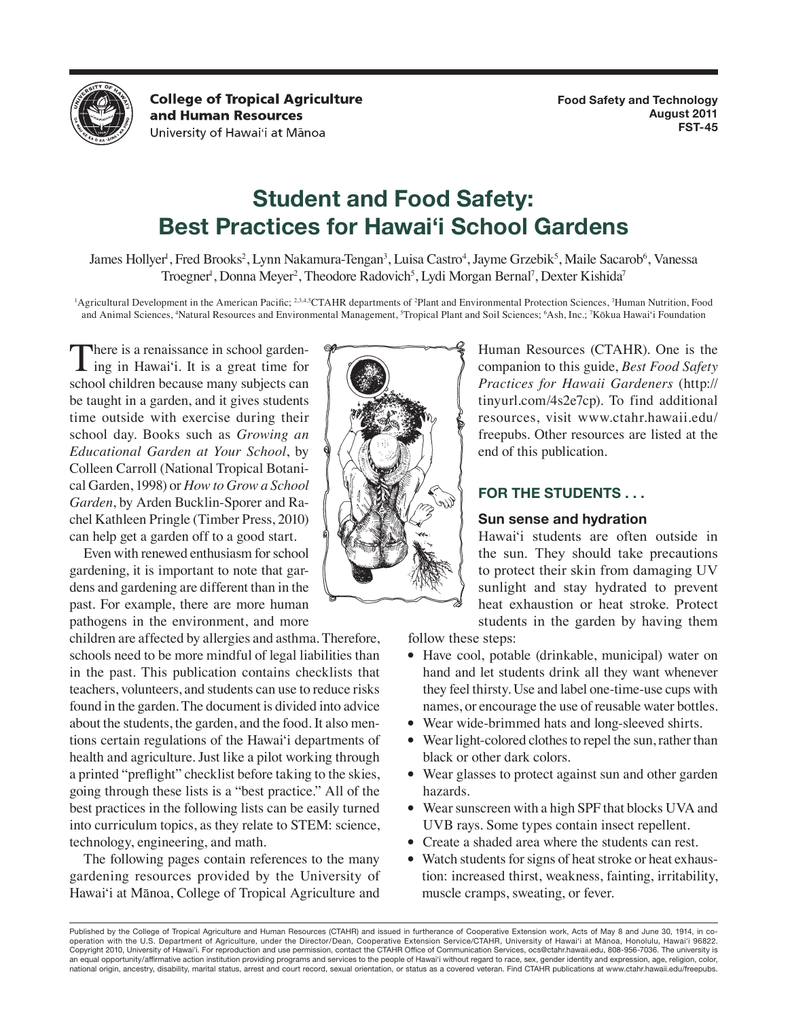

**College of Tropical Agriculture** and Human Resources University of Hawai'i at Mānoa

# **Student and Food Safety: Best Practices for Hawai'i School Gardens**

James Hollyer<sup>i</sup>, Fred Brooks<sup>2</sup>, Lynn Nakamura-Tengan<sup>3</sup>, Luisa Castro<sup>4</sup>, Jayme Grzebik<sup>5</sup>, Maile Sacarob<sup>6</sup>, Vanessa Troegner<sup>1</sup>, Donna Meyer<sup>2</sup>, Theodore Radovich<sup>5</sup>, Lydi Morgan Bernal<sup>7</sup>, Dexter Kishida<sup>7</sup>

<sup>1</sup>Agricultural Development in the American Pacific; <sup>2,3,4,5</sup>CTAHR departments of <sup>2</sup>Plant and Environmental Protection Sciences, <sup>3</sup>Human Nutrition, Food and Animal Sciences, <sup>4</sup>Natural Resources and Environmental Management, <sup>5</sup>Tropical Plant and Soil Sciences; <sup>6</sup>Ash, Inc.; <sup>7</sup>Kōkua Hawai'i Foundation

There is a renaissance in school garden-<br>ing in Hawai'i. It is a great time for school children because many subjects can be taught in a garden, and it gives students time outside with exercise during their school day. Books such as *Growing an Educational Garden at Your School*, by Colleen Carroll (National Tropical Botanical Garden, 1998) or *How to Grow a School Garden*, by Arden Bucklin-Sporer and Rachel Kathleen Pringle (Timber Press, 2010) can help get a garden off to a good start.

Even with renewed enthusiasm for school gardening, it is important to note that gardens and gardening are different than in the past. For example, there are more human pathogens in the environment, and more

children are affected by allergies and asthma. Therefore, schools need to be more mindful of legal liabilities than in the past. This publication contains checklists that teachers, volunteers, and students can use to reduce risks found in the garden. The document is divided into advice about the students, the garden, and the food. It also mentions certain regulations of the Hawai'i departments of health and agriculture. Just like a pilot working through a printed "preflight" checklist before taking to the skies, going through these lists is a "best practice." All of the best practices in the following lists can be easily turned into curriculum topics, as they relate to STEM: science, technology, engineering, and math.

The following pages contain references to the many gardening resources provided by the University of Hawai'i at Mānoa, College of Tropical Agriculture and



Human Resources (CTAHR). One is the companion to this guide, *Best Food Safety Practices for Hawaii Gardeners* (http:// tinyurl.com/4s2e7cp). To find additional resources, visit www.ctahr.hawaii.edu/ freepubs. Other resources are listed at the end of this publication.

# **FOR THE STUDENTS . . .**

# **Sun sense and hydration**

Hawai'i students are often outside in the sun. They should take precautions to protect their skin from damaging UV sunlight and stay hydrated to prevent heat exhaustion or heat stroke. Protect students in the garden by having them

follow these steps:

- Have cool, potable (drinkable, municipal) water on hand and let students drink all they want whenever they feel thirsty. Use and label one-time-use cups with names, or encourage the use of reusable water bottles.
- Wear wide-brimmed hats and long-sleeved shirts.
- Wear light-colored clothes to repel the sun, rather than black or other dark colors.
- Wear glasses to protect against sun and other garden hazards.
- Wear sunscreen with a high SPF that blocks UVA and UVB rays. Some types contain insect repellent.
- Create a shaded area where the students can rest.
- Watch students for signs of heat stroke or heat exhaustion: increased thirst, weakness, fainting, irritability, muscle cramps, sweating, or fever.

Published by the College of Tropical Agriculture and Human Resources (CTAHR) and issued in furtherance of Cooperative Extension work, Acts of May 8 and June 30, 1914, in cooperation with the U.S. Department of Agriculture, under the Director/Dean, Cooperative Extension Service/CTAHR, University of Hawai'i at Mānoa, Honolulu, Hawai'i 96822. Copyright 2010, University of Hawai'i. For reproduction and use permission, contact the CTAHR Office of Communication Services, ocs@ctahr.hawaii.edu, 808-956-7036. The university is an equal opportunity/affirmative action institution providing programs and services to the people of Hawai'i without regard to race, sex, gender identity and expression, age, religion, color, national origin, ancestry, disability, marital status, arrest and court record, sexual orientation, or status as a covered veteran. Find CTAHR publications at www.ctahr.hawaii.edu/freepubs.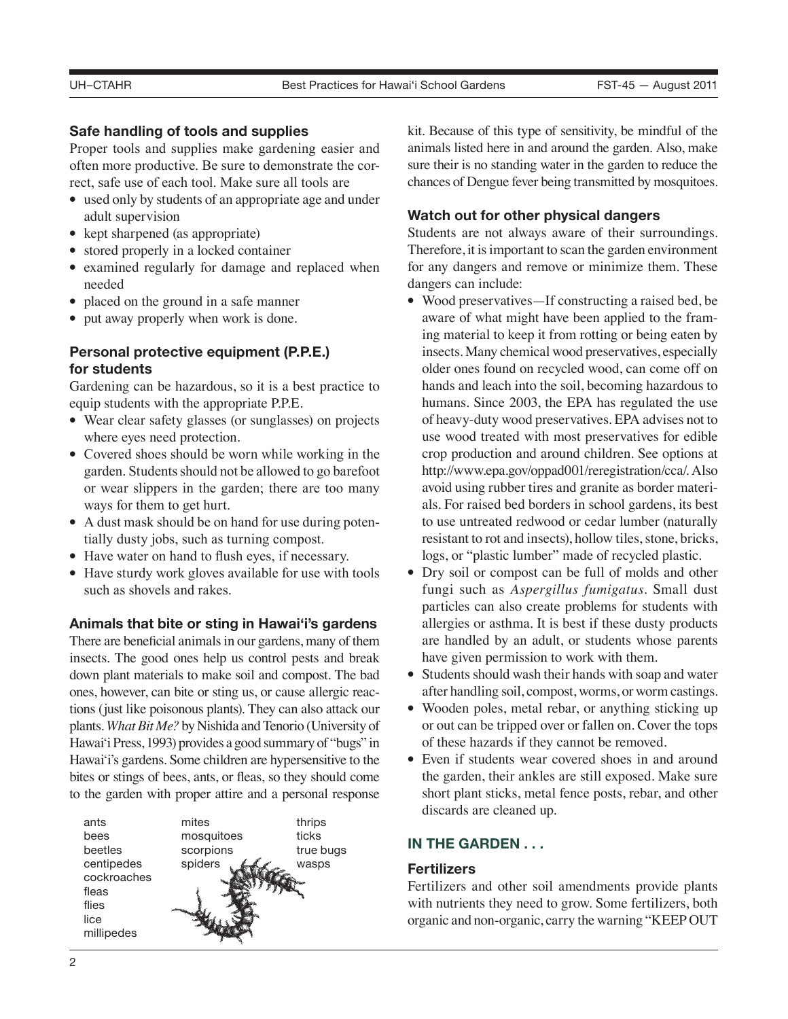# **Safe handling of tools and supplies**

Proper tools and supplies make gardening easier and often more productive. Be sure to demonstrate the correct, safe use of each tool. Make sure all tools are

- used only by students of an appropriate age and under adult supervision
- kept sharpened (as appropriate)
- stored properly in a locked container
- examined regularly for damage and replaced when needed
- placed on the ground in a safe manner
- put away properly when work is done.

# **Personal protective equipment (P.P.E.) for students**

Gardening can be hazardous, so it is a best practice to equip students with the appropriate P.P.E.

- Wear clear safety glasses (or sunglasses) on projects where eyes need protection.
- Covered shoes should be worn while working in the garden. Students should not be allowed to go barefoot or wear slippers in the garden; there are too many ways for them to get hurt.
- A dust mask should be on hand for use during potentially dusty jobs, such as turning compost.
- Have water on hand to flush eyes, if necessary.
- Have sturdy work gloves available for use with tools such as shovels and rakes.

# **Animals that bite or sting in Hawai'i's gardens**

There are beneficial animals in our gardens, many of them insects. The good ones help us control pests and break down plant materials to make soil and compost. The bad ones, however, can bite or sting us, or cause allergic reactions (just like poisonous plants). They can also attack our plants. *What Bit Me?* by Nishida and Tenorio (University of Hawai'i Press, 1993) provides a good summary of "bugs" in Hawai'i's gardens. Some children are hypersensitive to the bites or stings of bees, ants, or fleas, so they should come to the garden with proper attire and a personal response



kit. Because of this type of sensitivity, be mindful of the animals listed here in and around the garden. Also, make sure their is no standing water in the garden to reduce the chances of Dengue fever being transmitted by mosquitoes.

# **Watch out for other physical dangers**

Students are not always aware of their surroundings. Therefore, it is important to scan the garden environment for any dangers and remove or minimize them. These dangers can include:

- Wood preservatives—If constructing a raised bed, be aware of what might have been applied to the framing material to keep it from rotting or being eaten by insects. Many chemical wood preservatives, especially older ones found on recycled wood, can come off on hands and leach into the soil, becoming hazardous to humans. Since 2003, the EPA has regulated the use of heavy-duty wood preservatives. EPA advises not to use wood treated with most preservatives for edible crop production and around children. See options at http://www.epa.gov/oppad001/reregistration/cca/. Also avoid using rubber tires and granite as border materials. For raised bed borders in school gardens, its best to use untreated redwood or cedar lumber (naturally resistant to rot and insects), hollow tiles, stone, bricks, logs, or "plastic lumber" made of recycled plastic.
- Dry soil or compost can be full of molds and other fungi such as *Aspergillus fumigatus*. Small dust particles can also create problems for students with allergies or asthma. It is best if these dusty products are handled by an adult, or students whose parents have given permission to work with them.
- Students should wash their hands with soap and water after handling soil, compost, worms, or worm castings.
- Wooden poles, metal rebar, or anything sticking up or out can be tripped over or fallen on. Cover the tops of these hazards if they cannot be removed.
- Even if students wear covered shoes in and around the garden, their ankles are still exposed. Make sure short plant sticks, metal fence posts, rebar, and other discards are cleaned up.

# **IN THE GARDEN . . .**

# **Fertilizers**

Fertilizers and other soil amendments provide plants with nutrients they need to grow. Some fertilizers, both organic and non-organic, carry the warning "KEEP OUT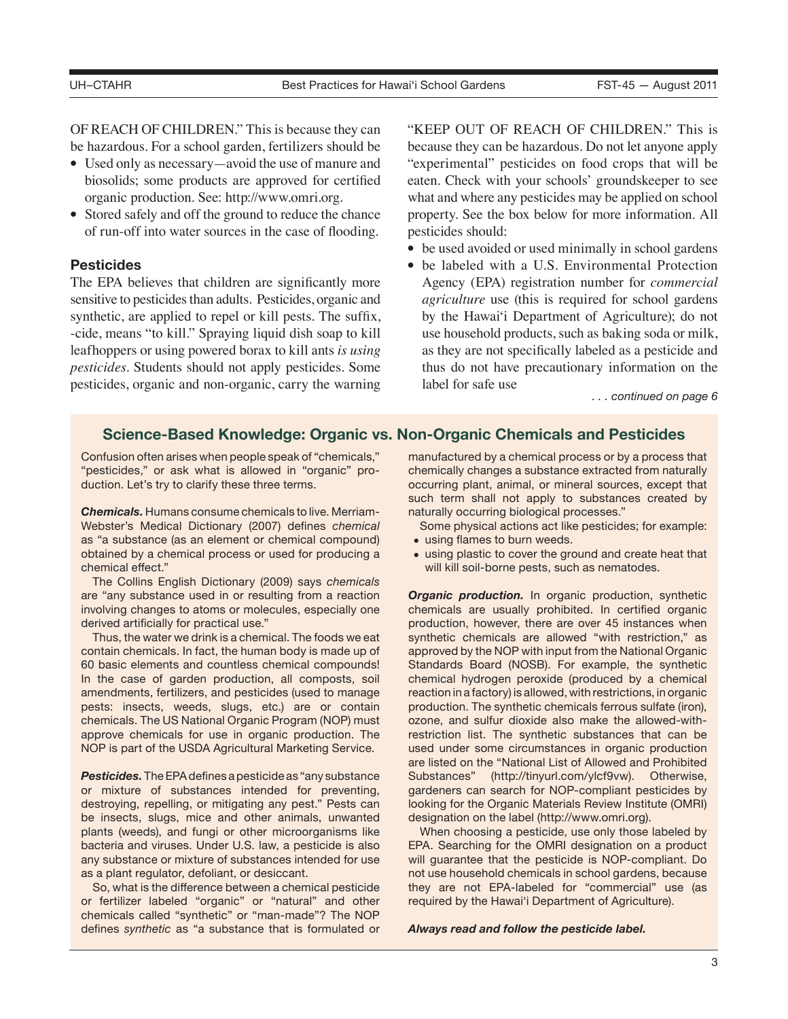OF REACH OF CHILDREN." This is because they can be hazardous. For a school garden, fertilizers should be

- Used only as necessary—avoid the use of manure and biosolids; some products are approved for certified organic production. See: http://www.omri.org.
- Stored safely and off the ground to reduce the chance of run-off into water sources in the case of flooding.

### **Pesticides**

The EPA believes that children are significantly more sensitive to pesticides than adults. Pesticides, organic and synthetic, are applied to repel or kill pests. The suffix, -cide, means "to kill." Spraying liquid dish soap to kill leafhoppers or using powered borax to kill ants *is using pesticides*. Students should not apply pesticides. Some pesticides, organic and non-organic, carry the warning "KEEP OUT OF REACH OF CHILDREN." This is because they can be hazardous. Do not let anyone apply "experimental" pesticides on food crops that will be eaten. Check with your schools' groundskeeper to see what and where any pesticides may be applied on school property. See the box below for more information. All pesticides should:

- be used avoided or used minimally in school gardens
- be labeled with a U.S. Environmental Protection Agency (EPA) registration number for *commercial agriculture* use (this is required for school gardens by the Hawai'i Department of Agriculture); do not use household products, such as baking soda or milk, as they are not specifically labeled as a pesticide and thus do not have precautionary information on the label for safe use

*. . . continued on page 6*

# **Science-Based Knowledge: Organic vs. Non-Organic Chemicals and Pesticides**

Confusion often arises when people speak of "chemicals," "pesticides," or ask what is allowed in "organic" production. Let's try to clarify these three terms.

*Chemicals.* Humans consume chemicals to live. Merriam-Webster's Medical Dictionary (2007) defines *chemical* as "a substance (as an element or chemical compound) obtained by a chemical process or used for producing a chemical effect."

The Collins English Dictionary (2009) says *chemicals* are "any substance used in or resulting from a reaction involving changes to atoms or molecules, especially one derived artificially for practical use."

Thus, the water we drink is a chemical. The foods we eat contain chemicals. In fact, the human body is made up of 60 basic elements and countless chemical compounds! In the case of garden production, all composts, soil amendments, fertilizers, and pesticides (used to manage pests: insects, weeds, slugs, etc.) are or contain chemicals. The US National Organic Program (NOP) must approve chemicals for use in organic production. The NOP is part of the USDA Agricultural Marketing Service.

*Pesticides.* The EPA defines a pesticide as "any substance or mixture of substances intended for preventing, destroying, repelling, or mitigating any pest." Pests can be insects, slugs, mice and other animals, unwanted plants (weeds), and fungi or other microorganisms like bacteria and viruses. Under U.S. law, a pesticide is also any substance or mixture of substances intended for use as a plant regulator, defoliant, or desiccant.

So, what is the difference between a chemical pesticide or fertilizer labeled "organic" or "natural" and other chemicals called "synthetic" or "man-made"? The NOP defines *synthetic* as "a substance that is formulated or

manufactured by a chemical process or by a process that chemically changes a substance extracted from naturally occurring plant, animal, or mineral sources, except that such term shall not apply to substances created by naturally occurring biological processes."

Some physical actions act like pesticides; for example:

- using flames to burn weeds.
- using plastic to cover the ground and create heat that will kill soil-borne pests, such as nematodes.

**Organic production.** In organic production, synthetic chemicals are usually prohibited. In certified organic production, however, there are over 45 instances when synthetic chemicals are allowed "with restriction," as approved by the NOP with input from the National Organic Standards Board (NOSB). For example, the synthetic chemical hydrogen peroxide (produced by a chemical reaction in a factory) is allowed, with restrictions, in organic production. The synthetic chemicals ferrous sulfate (iron), ozone, and sulfur dioxide also make the allowed-withrestriction list. The synthetic substances that can be used under some circumstances in organic production are listed on the "National List of Allowed and Prohibited Substances" (http://tinyurl.com/ylcf9vw). Otherwise, gardeners can search for NOP-compliant pesticides by looking for the Organic Materials Review Institute (OMRI) designation on the label (http://www.omri.org).

When choosing a pesticide, use only those labeled by EPA. Searching for the OMRI designation on a product will guarantee that the pesticide is NOP-compliant. Do not use household chemicals in school gardens, because they are not EPA-labeled for "commercial" use (as required by the Hawai'i Department of Agriculture).

*Always read and follow the pesticide label.*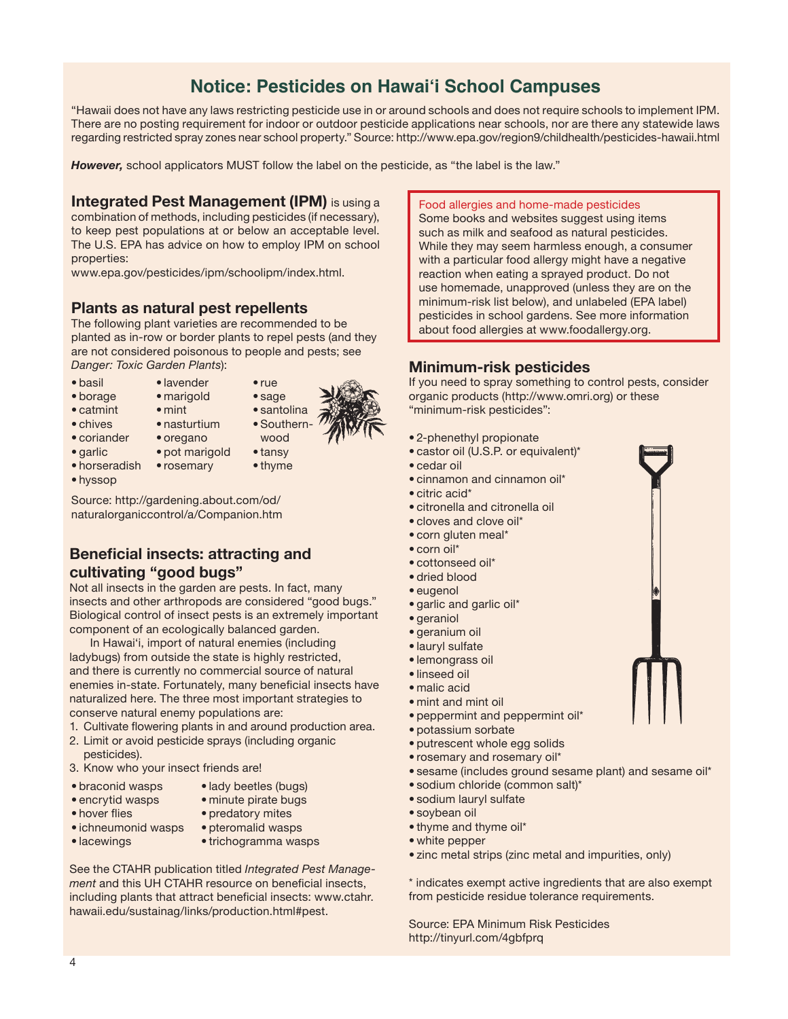# **UH–CTAHR Best Practicides on Hawai'i School Campuses** FST-45 — August 2011

"Hawaii does not have any laws restricting pesticide use in or around schools and does not require schools to implement IPM. There are no posting requirement for indoor or outdoor pesticide applications near schools, nor are there any statewide laws regarding restricted spray zones near school property." Source: http://www.epa.gov/region9/childhealth/pesticides-hawaii.html

*However,* school applicators MUST follow the label on the pesticide, as "the label is the law."

# **Integrated Pest Management (IPM)** is using a

combination of methods, including pesticides (if necessary), to keep pest populations at or below an acceptable level. The U.S. EPA has advice on how to employ IPM on school properties:

www.epa.gov/pesticides/ipm/schoolipm/index.html.

# **Plants as natural pest repellents**

The following plant varieties are recommended to be planted as in-row or border plants to repel pests (and they are not considered poisonous to people and pests; see *Danger: Toxic Garden Plants*):

- basil
- 
- lavender • marigold
- borage • catmint
- chives
- mint



- coriander • nasturtium
	- oregano
- garlic
- pot marigold
- rosemary
- tansy • thyme
- hyssop

• horseradish

Source: http://gardening.about.com/od/ naturalorganiccontrol/a/Companion.htm

# **Beneficial insects: attracting and cultivating "good bugs"**

Not all insects in the garden are pests. In fact, many insects and other arthropods are considered "good bugs." Biological control of insect pests is an extremely important component of an ecologically balanced garden.

In Hawai'i, import of natural enemies (including ladybugs) from outside the state is highly restricted, and there is currently no commercial source of natural enemies in-state. Fortunately, many beneficial insects have naturalized here. The three most important strategies to conserve natural enemy populations are:

- 1. Cultivate flowering plants in and around production area.
- 2. Limit or avoid pesticide sprays (including organic pesticides).
- 3. Know who your insect friends are!
- braconid wasps • encrytid wasps

• hover flies

- lady beetles (bugs)
- minute pirate bugs
	- predatory mites
- ichneumonid wasps • lacewings
- pteromalid wasps • trichogramma wasps

See the CTAHR publication titled *Integrated Pest Management* and this UH CTAHR resource on beneficial insects, including plants that attract beneficial insects: www.ctahr. hawaii.edu/sustainag/links/production.html#pest.

Food allergies and home-made pesticides

Some books and websites suggest using items such as milk and seafood as natural pesticides. While they may seem harmless enough, a consumer with a particular food allergy might have a negative reaction when eating a sprayed product. Do not use homemade, unapproved (unless they are on the minimum-risk list below), and unlabeled (EPA label) pesticides in school gardens. See more information about food allergies at www.foodallergy.org.

# **Minimum-risk pesticides**

If you need to spray something to control pests, consider organic products (http://www.omri.org) or these "minimum-risk pesticides":

- 2-phenethyl propionate
- castor oil (U.S.P. or equivalent)\*
- cedar oil
- cinnamon and cinnamon oil\*
- citric acid\*
- citronella and citronella oil
- cloves and clove oil\*
- corn gluten meal\*
- corn oil\*
- cottonseed oil\*
- dried blood
- eugenol
- garlic and garlic oil\*
- geraniol
- geranium oil
- lauryl sulfate
- lemongrass oil
- linseed oil
- malic acid
- mint and mint oil
- peppermint and peppermint oil\*
- potassium sorbate
- putrescent whole egg solids
- rosemary and rosemary oil\*
- sesame (includes ground sesame plant) and sesame oil\*
- sodium chloride (common salt)\*
- sodium lauryl sulfate
- soybean oil
- thyme and thyme oil\*
- white pepper
- zinc metal strips (zinc metal and impurities, only)

\* indicates exempt active ingredients that are also exempt from pesticide residue tolerance requirements.

Source: EPA Minimum Risk Pesticides http://tinyurl.com/4gbfprq

- 
- 
- sage
- santolina
- Southern wood

• rue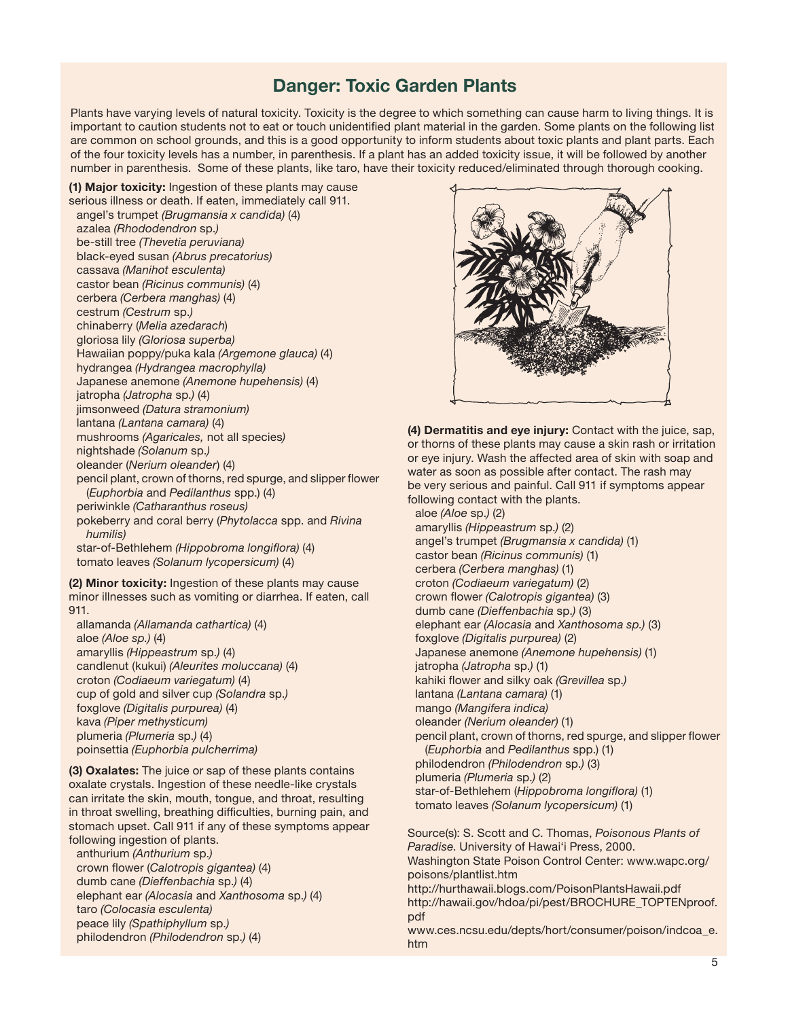# **Danger: Toxic Garden Plants**

Plants have varying levels of natural toxicity. Toxicity is the degree to which something can cause harm to living things. It is important to caution students not to eat or touch unidentified plant material in the garden. Some plants on the following list are common on school grounds, and this is a good opportunity to inform students about toxic plants and plant parts. Each of the four toxicity levels has a number, in parenthesis. If a plant has an added toxicity issue, it will be followed by another number in parenthesis. Some of these plants, like taro, have their toxicity reduced/eliminated through thorough cooking.

**(1) Major toxicity:** Ingestion of these plants may cause serious illness or death. If eaten, immediately call 911. angel's trumpet *(Brugmansia x candida)* (4) azalea *(Rhododendron* sp.*)* be-still tree *(Thevetia peruviana)* black-eyed susan *(Abrus precatorius)* cassava *(Manihot esculenta)* castor bean *(Ricinus communis)* (4) cerbera *(Cerbera manghas)* (4) cestrum *(Cestrum* sp.*)* chinaberry (*Melia azedarach*) gloriosa lily *(Gloriosa superba)* Hawaiian poppy/puka kala *(Argemone glauca)* (4) hydrangea *(Hydrangea macrophylla)* Japanese anemone *(Anemone hupehensis)* (4) jatropha *(Jatropha* sp.*)* (4) jimsonweed *(Datura stramonium)* lantana *(Lantana camara)* (4) mushrooms *(Agaricales,* not all species*)* nightshade *(Solanum* sp.*)* oleander (*Nerium oleander*) (4) pencil plant, crown of thorns, red spurge, and slipper flower (*Euphorbia* and *Pedilanthus* spp.) (4) periwinkle *(Catharanthus roseus)* pokeberry and coral berry (*Phytolacca* spp. and *Rivina humilis)* star-of-Bethlehem *(Hippobroma longiflora)* (4) tomato leaves *(Solanum lycopersicum)* (4)

**(2) Minor toxicity:** Ingestion of these plants may cause minor illnesses such as vomiting or diarrhea. If eaten, call 911.

allamanda *(Allamanda cathartica)* (4) aloe *(Aloe sp.)* (4) amaryllis *(Hippeastrum* sp.*)* (4) candlenut (kukui) *(Aleurites moluccana)* (4) croton *(Codiaeum variegatum)* (4) cup of gold and silver cup *(Solandra* sp.*)* foxglove *(Digitalis purpurea)* (4) kava *(Piper methysticum)* plumeria *(Plumeria* sp.*)* (4) poinsettia *(Euphorbia pulcherrima)*

**(3) Oxalates:** The juice or sap of these plants contains oxalate crystals. Ingestion of these needle-like crystals can irritate the skin, mouth, tongue, and throat, resulting in throat swelling, breathing difficulties, burning pain, and stomach upset. Call 911 if any of these symptoms appear following ingestion of plants. anthurium *(Anthurium* sp.*)* crown flower (*Calotropis gigantea)* (4) dumb cane *(Dieffenbachia* sp.*)* (4) elephant ear *(Alocasia* and *Xanthosoma* sp.*)* (4) taro *(Colocasia esculenta)* peace lily *(Spathiphyllum* sp.*)* philodendron *(Philodendron* sp.*)* (4)



**(4) Dermatitis and eye injury:** Contact with the juice, sap, or thorns of these plants may cause a skin rash or irritation or eye injury. Wash the affected area of skin with soap and water as soon as possible after contact. The rash may be very serious and painful. Call 911 if symptoms appear following contact with the plants. aloe *(Aloe* sp.*)* (2) amaryllis *(Hippeastrum* sp.*)* (2) angel's trumpet *(Brugmansia x candida)* (1) castor bean *(Ricinus communis)* (1) cerbera *(Cerbera manghas)* (1) croton *(Codiaeum variegatum)* (2) crown flower *(Calotropis gigantea)* (3) dumb cane *(Dieffenbachia* sp.*)* (3) elephant ear *(Alocasia* and *Xanthosoma sp.)* (3) foxglove *(Digitalis purpurea)* (2) Japanese anemone *(Anemone hupehensis)* (1) jatropha *(Jatropha* sp.*)* (1) kahiki flower and silky oak *(Grevillea* sp.*)* lantana *(Lantana camara)* (1) mango *(Mangifera indica)* oleander *(Nerium oleander)* (1) pencil plant, crown of thorns, red spurge, and slipper flower (*Euphorbia* and *Pedilanthus* spp.) (1) philodendron *(Philodendron* sp.*)* (3) plumeria *(Plumeria* sp.*)* (2) star-of-Bethlehem (*Hippobroma longiflora)* (1) tomato leaves *(Solanum lycopersicum)* (1)

Source(s): S. Scott and C. Thomas, *Poisonous Plants of Paradise*. University of Hawai'i Press, 2000. Washington State Poison Control Center: www.wapc.org/ poisons/plantlist.htm http://hurthawaii.blogs.com/PoisonPlantsHawaii.pdf http://hawaii.gov/hdoa/pi/pest/BROCHURE\_TOPTENproof. pdf www.ces.ncsu.edu/depts/hort/consumer/poison/indcoa\_e. htm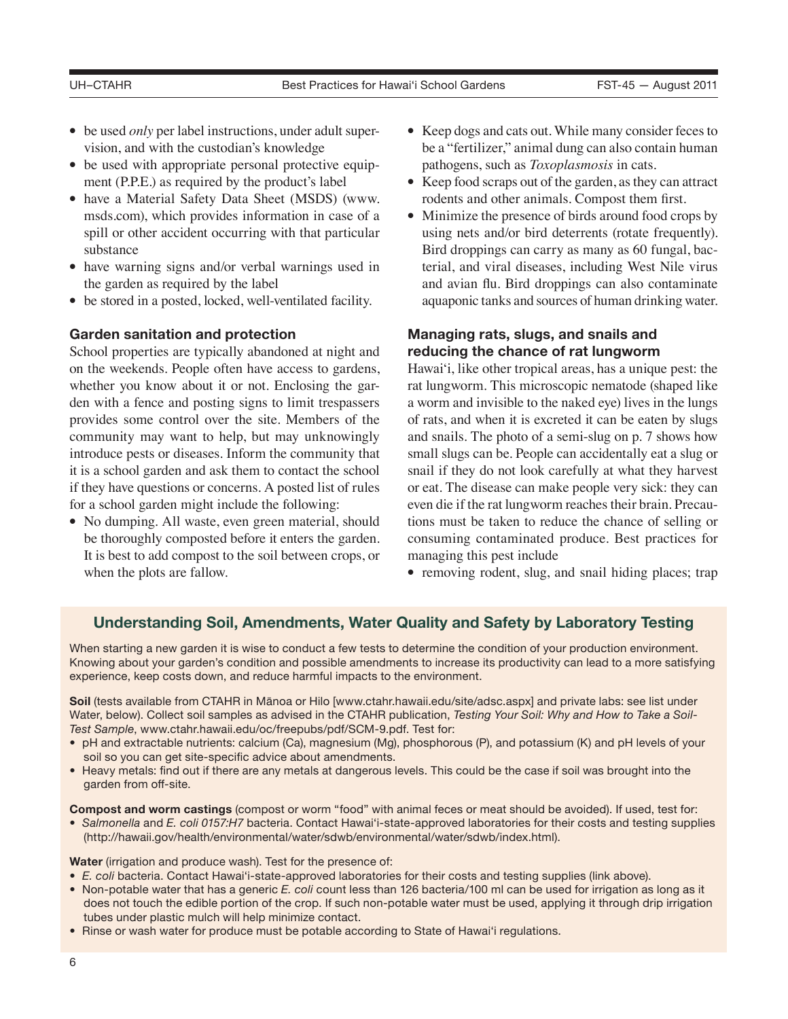- be used *only* per label instructions, under adult supervision, and with the custodian's knowledge
- be used with appropriate personal protective equipment (P.P.E.) as required by the product's label
- have a Material Safety Data Sheet (MSDS) (www. msds.com), which provides information in case of a spill or other accident occurring with that particular substance
- have warning signs and/or verbal warnings used in the garden as required by the label
- be stored in a posted, locked, well-ventilated facility.

### **Garden sanitation and protection**

School properties are typically abandoned at night and on the weekends. People often have access to gardens, whether you know about it or not. Enclosing the garden with a fence and posting signs to limit trespassers provides some control over the site. Members of the community may want to help, but may unknowingly introduce pests or diseases. Inform the community that it is a school garden and ask them to contact the school if they have questions or concerns. A posted list of rules for a school garden might include the following:

• No dumping. All waste, even green material, should be thoroughly composted before it enters the garden. It is best to add compost to the soil between crops, or when the plots are fallow.

- Keep dogs and cats out. While many consider feces to be a "fertilizer," animal dung can also contain human pathogens, such as *Toxoplasmosis* in cats.
- Keep food scraps out of the garden, as they can attract rodents and other animals. Compost them first.
- Minimize the presence of birds around food crops by using nets and/or bird deterrents (rotate frequently). Bird droppings can carry as many as 60 fungal, bacterial, and viral diseases, including West Nile virus and avian flu. Bird droppings can also contaminate aquaponic tanks and sources of human drinking water.

# **Managing rats, slugs, and snails and reducing the chance of rat lungworm**

Hawai'i, like other tropical areas, has a unique pest: the rat lungworm. This microscopic nematode (shaped like a worm and invisible to the naked eye) lives in the lungs of rats, and when it is excreted it can be eaten by slugs and snails. The photo of a semi-slug on p. 7 shows how small slugs can be. People can accidentally eat a slug or snail if they do not look carefully at what they harvest or eat. The disease can make people very sick: they can even die if the rat lungworm reaches their brain. Precautions must be taken to reduce the chance of selling or consuming contaminated produce. Best practices for managing this pest include

• removing rodent, slug, and snail hiding places; trap

# **Understanding Soil, Amendments, Water Quality and Safety by Laboratory Testing**

When starting a new garden it is wise to conduct a few tests to determine the condition of your production environment. Knowing about your garden's condition and possible amendments to increase its productivity can lead to a more satisfying experience, keep costs down, and reduce harmful impacts to the environment.

**Soil** (tests available from CTAHR in Mānoa or Hilo [www.ctahr.hawaii.edu/site/adsc.aspx] and private labs: see list under Water, below). Collect soil samples as advised in the CTAHR publication, *Testing Your Soil: Why and How to Take a Soil-Test Sample*, www.ctahr.hawaii.edu/oc/freepubs/pdf/SCM-9.pdf. Test for:

- pH and extractable nutrients: calcium (Ca), magnesium (Mg), phosphorous (P), and potassium (K) and pH levels of your soil so you can get site-specific advice about amendments.
- Heavy metals: find out if there are any metals at dangerous levels. This could be the case if soil was brought into the garden from off-site.

**Compost and worm castings** (compost or worm "food" with animal feces or meat should be avoided). If used, test for:

• *Salmonella and E. coli 0157:H7* bacteria. Contact Hawai'i-state-approved laboratories for their costs and testing supplies (http://hawaii.gov/health/environmental/water/sdwb/environmental/water/sdwb/index.html).

**Water** (irrigation and produce wash). Test for the presence of:

- *E. coli* bacteria. Contact Hawai'i-state-approved laboratories for their costs and testing supplies (link above).
- Non-potable water that has a generic *E. coli* count less than 126 bacteria/100 ml can be used for irrigation as long as it does not touch the edible portion of the crop. If such non-potable water must be used, applying it through drip irrigation tubes under plastic mulch will help minimize contact.
- Rinse or wash water for produce must be potable according to State of Hawai'i regulations.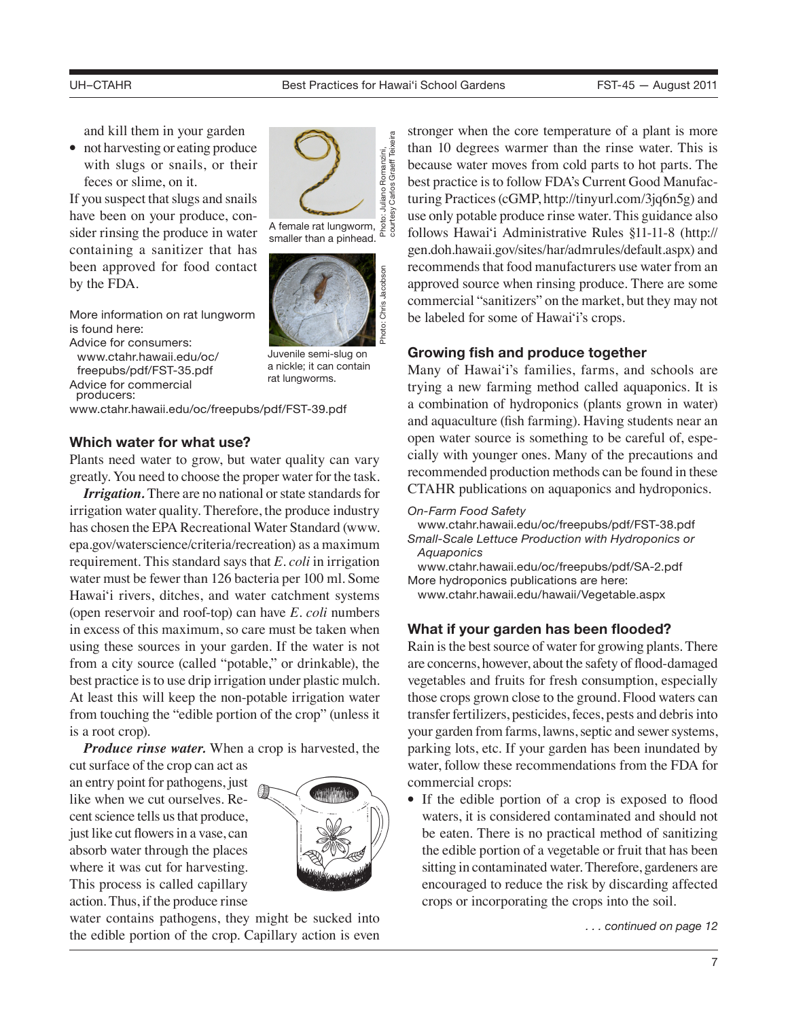and kill them in your garden

• not harvesting or eating produce with slugs or snails, or their feces or slime, on it.

If you suspect that slugs and snails have been on your produce, consider rinsing the produce in water containing a sanitizer that has been approved for food contact by the FDA.

More information on rat lungworm is found here:

Advice for consumers: www.ctahr.hawaii.edu/oc/ freepubs/pdf/FST-35.pdf

Advice for commercial producers:

www.ctahr.hawaii.edu/oc/freepubs/pdf/FST-39.pdf

### **Which water for what use?**

Plants need water to grow, but water quality can vary greatly. You need to choose the proper water for the task.

*Irrigation.* There are no national or state standards for irrigation water quality. Therefore, the produce industry has chosen the EPA Recreational Water Standard (www. epa.gov/waterscience/criteria/recreation) as a maximum requirement. This standard says that *E. coli* in irrigation water must be fewer than 126 bacteria per 100 ml. Some Hawai'i rivers, ditches, and water catchment systems (open reservoir and roof-top) can have *E. coli* numbers in excess of this maximum, so care must be taken when using these sources in your garden. If the water is not from a city source (called "potable," or drinkable), the best practice is to use drip irrigation under plastic mulch. At least this will keep the non-potable irrigation water from touching the "edible portion of the crop" (unless it is a root crop).

*Produce rinse water.* When a crop is harvested, the

cut surface of the crop can act as an entry point for pathogens, just like when we cut ourselves. Recent science tells us that produce, just like cut flowers in a vase, can absorb water through the places where it was cut for harvesting. This process is called capillary action. Thus, if the produce rinse



water contains pathogens, they might be sucked into the edible portion of the crop. Capillary action is even *...* continued on page 12

stronger when the core temperature of a plant is more than 10 degrees warmer than the rinse water. This is because water moves from cold parts to hot parts. The best practice is to follow FDA's Current Good Manufacturing Practices (cGMP, http://tinyurl.com/3jq6n5g) and use only potable produce rinse water. This guidance also follows Hawai'i Administrative Rules §11-11-8 (http:// gen.doh.hawaii.gov/sites/har/admrules/default.aspx) and recommends that food manufacturers use water from an approved source when rinsing produce. There are some commercial "sanitizers" on the market, but they may not be labeled for some of Hawai'i's crops.

## **Growing fish and produce together**

Many of Hawai'i's families, farms, and schools are trying a new farming method called aquaponics. It is a combination of hydroponics (plants grown in water) and aquaculture (fish farming). Having students near an open water source is something to be careful of, especially with younger ones. Many of the precautions and recommended production methods can be found in these CTAHR publications on aquaponics and hydroponics.

#### *On-Farm Food Safety*

 www.ctahr.hawaii.edu/oc/freepubs/pdf/FST-38.pdf *Small-Scale Lettuce Production with Hydroponics or Aquaponics*

 www.ctahr.hawaii.edu/oc/freepubs/pdf/SA-2.pdf More hydroponics publications are here:

www.ctahr.hawaii.edu/hawaii/Vegetable.aspx

## **What if your garden has been flooded?**

Rain is the best source of water for growing plants. There are concerns, however, about the safety of flood-damaged vegetables and fruits for fresh consumption, especially those crops grown close to the ground. Flood waters can transfer fertilizers, pesticides, feces, pests and debris into your garden from farms, lawns, septic and sewer systems, parking lots, etc. If your garden has been inundated by water, follow these recommendations from the FDA for commercial crops:

• If the edible portion of a crop is exposed to flood waters, it is considered contaminated and should not be eaten. There is no practical method of sanitizing the edible portion of a vegetable or fruit that has been sitting in contaminated water. Therefore, gardeners are encouraged to reduce the risk by discarding affected crops or incorporating the crops into the soil.



smaller than a pinhead.



Juvenile semi-slug on a nickle; it can contain rat lungworms.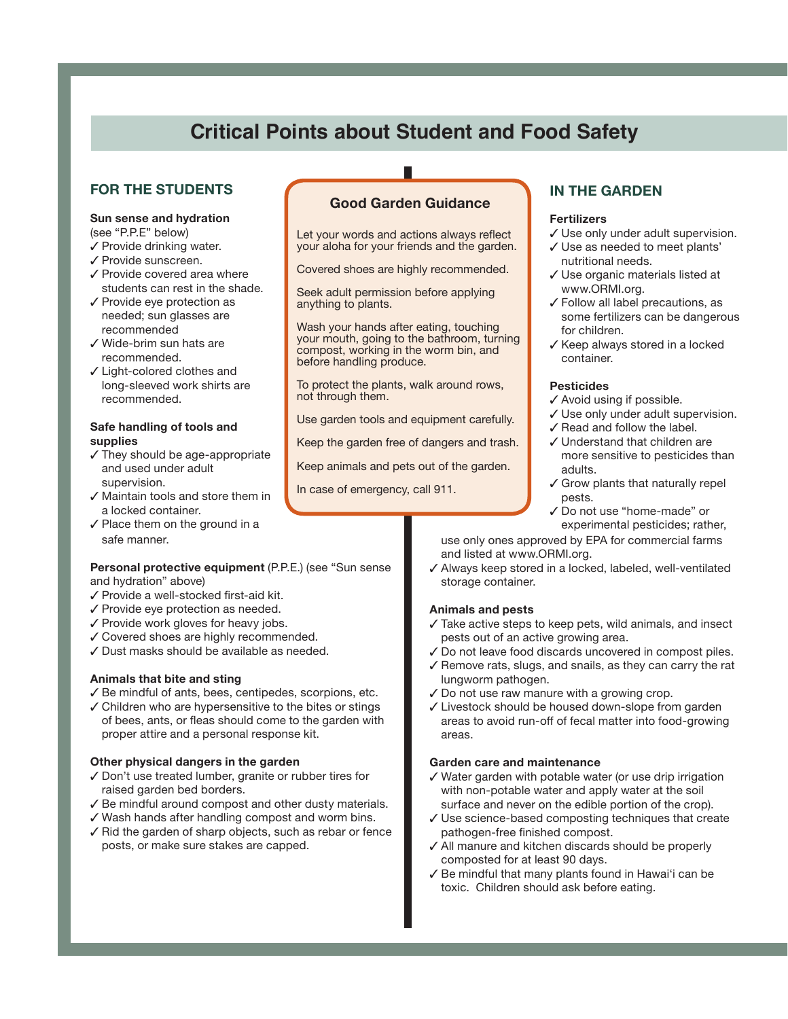# **Critical Points about Student and Food Safety**

# **FOR THE STUDENTS**

# **Sun sense and hydration**

(see "P.P.E" below)

- ✓ Provide drinking water.
- ✓ Provide sunscreen.
- ✓ Provide covered area where students can rest in the shade.
- ✓ Provide eye protection as needed; sun glasses are recommended
- ✓ Wide-brim sun hats are recommended.
- ✓ Light-colored clothes and long-sleeved work shirts are recommended.

#### **Safe handling of tools and supplies**

- ✓ They should be age-appropriate and used under adult supervision.
- ✓ Maintain tools and store them in a locked container.
- ✓ Place them on the ground in a safe manner.

#### **Personal protective equipment** (P.P.E.) (see "Sun sense and hydration" above)

- ✓ Provide a well-stocked first-aid kit.
- ✓ Provide eye protection as needed.
- ✓ Provide work gloves for heavy jobs.
- ✓ Covered shoes are highly recommended.
- ✓ Dust masks should be available as needed.

#### **Animals that bite and sting**

- ✓ Be mindful of ants, bees, centipedes, scorpions, etc.
- ✓ Children who are hypersensitive to the bites or stings of bees, ants, or fleas should come to the garden with proper attire and a personal response kit.

#### **Other physical dangers in the garden**

- ✓ Don't use treated lumber, granite or rubber tires for raised garden bed borders.
- ✓ Be mindful around compost and other dusty materials.
- ✓ Wash hands after handling compost and worm bins.
- ✓ Rid the garden of sharp objects, such as rebar or fence posts, or make sure stakes are capped.

# **Good Garden Guidance**

 $\blacksquare$ 

Let your words and actions always reflect your aloha for your friends and the garden.

Covered shoes are highly recommended.

Seek adult permission before applying anything to plants.

Wash your hands after eating, touching your mouth, going to the bathroom, turning compost, working in the worm bin, and before handling produce.

To protect the plants, walk around rows, not through them.

Use garden tools and equipment carefully.

Keep the garden free of dangers and trash.

Keep animals and pets out of the garden.

In case of emergency, call 911.

# **IN THE GARDEN**

#### **Fertilizers**

- ✓ Use only under adult supervision.
- ✓ Use as needed to meet plants' nutritional needs.
- ✓ Use organic materials listed at www.ORMI.org.
- ✓ Follow all label precautions, as some fertilizers can be dangerous for children.
- ✓ Keep always stored in a locked container.

#### **Pesticides**

- ✓ Avoid using if possible.
- ✓ Use only under adult supervision.
- ✓ Read and follow the label.
- ✓ Understand that children are more sensitive to pesticides than adults.
- ✓ Grow plants that naturally repel pests.
- ✓ Do not use "home-made" or experimental pesticides; rather,

use only ones approved by EPA for commercial farms and listed at www.ORMI.org.

✓ Always keep stored in a locked, labeled, well-ventilated storage container.

#### **Animals and pests**

- ✓ Take active steps to keep pets, wild animals, and insect pests out of an active growing area.
- ✓ Do not leave food discards uncovered in compost piles.
- ✓ Remove rats, slugs, and snails, as they can carry the rat lungworm pathogen.
- ✓ Do not use raw manure with a growing crop.
- ✓ Livestock should be housed down-slope from garden areas to avoid run-off of fecal matter into food-growing areas.

#### **Garden care and maintenance**

- ✓ Water garden with potable water (or use drip irrigation with non-potable water and apply water at the soil surface and never on the edible portion of the crop).
- ✓ Use science-based composting techniques that create pathogen-free finished compost.
- ✓ All manure and kitchen discards should be properly composted for at least 90 days.
- ✓ Be mindful that many plants found in Hawai'i can be toxic. Children should ask before eating.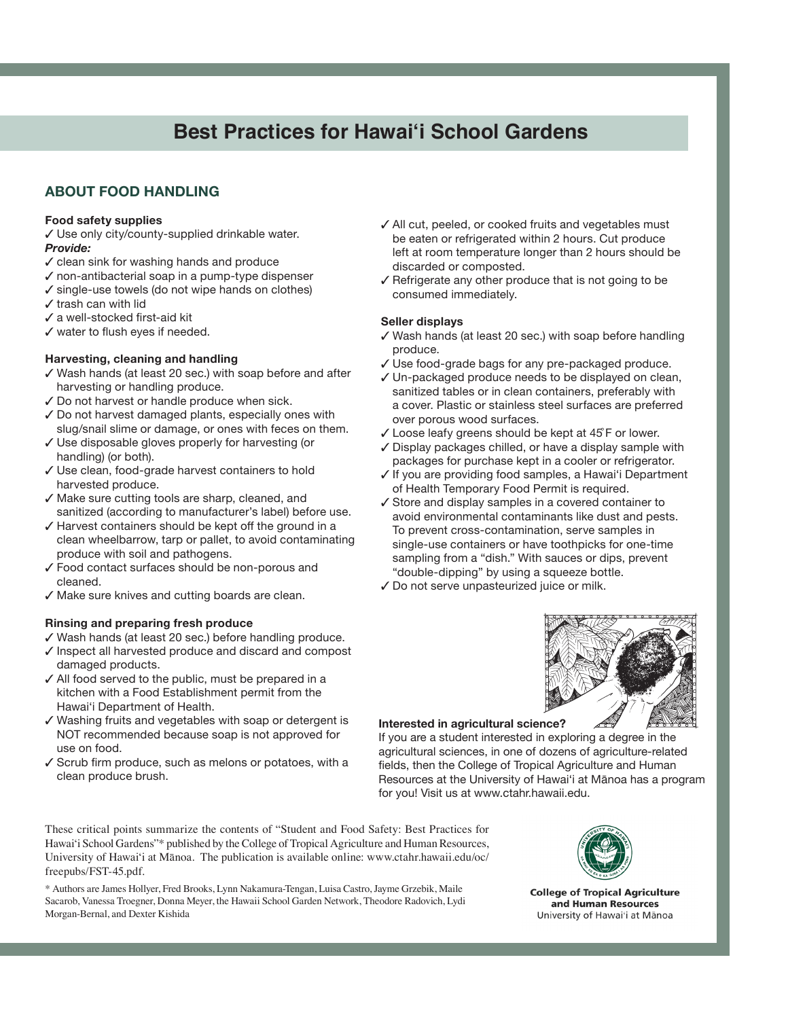# **Best Practices for Hawai'i School Gardens**

# **ABOUT FOOD HANDLING**

#### **Food safety supplies**

✓ Use only city/county-supplied drinkable water. *Provide:*

- ✓ clean sink for washing hands and produce
- ✓ non-antibacterial soap in a pump-type dispenser
- ✓ single-use towels (do not wipe hands on clothes)
- ✓ trash can with lid
- ✓ a well-stocked first-aid kit
- ✓ water to flush eyes if needed.

#### **Harvesting, cleaning and handling**

- ✓ Wash hands (at least 20 sec.) with soap before and after harvesting or handling produce.
- ✓ Do not harvest or handle produce when sick.
- ✓ Do not harvest damaged plants, especially ones with slug/snail slime or damage, or ones with feces on them.
- ✓ Use disposable gloves properly for harvesting (or handling) (or both).
- ✓ Use clean, food-grade harvest containers to hold harvested produce.
- ✓ Make sure cutting tools are sharp, cleaned, and sanitized (according to manufacturer's label) before use.
- ✓ Harvest containers should be kept off the ground in a clean wheelbarrow, tarp or pallet, to avoid contaminating produce with soil and pathogens.
- ✓ Food contact surfaces should be non-porous and cleaned.
- ✓ Make sure knives and cutting boards are clean.

#### **Rinsing and preparing fresh produce**

- ✓ Wash hands (at least 20 sec.) before handling produce.
- ✓ Inspect all harvested produce and discard and compost damaged products.
- ✓ All food served to the public, must be prepared in a kitchen with a Food Establishment permit from the Hawai'i Department of Health.
- ✓ Washing fruits and vegetables with soap or detergent is NOT recommended because soap is not approved for use on food.
- ✓ Scrub firm produce, such as melons or potatoes, with a clean produce brush.
- ✓ All cut, peeled, or cooked fruits and vegetables must be eaten or refrigerated within 2 hours. Cut produce left at room temperature longer than 2 hours should be discarded or composted.
- ✓ Refrigerate any other produce that is not going to be consumed immediately.

#### **Seller displays**

- ✓ Wash hands (at least 20 sec.) with soap before handling produce.
- ✓ Use food-grade bags for any pre-packaged produce.
- ✓ Un-packaged produce needs to be displayed on clean, sanitized tables or in clean containers, preferably with a cover. Plastic or stainless steel surfaces are preferred over porous wood surfaces.
- ✓ Loose leafy greens should be kept at 45 ̊F or lower.
- ✓ Display packages chilled, or have a display sample with packages for purchase kept in a cooler or refrigerator.
- ✓ If you are providing food samples, a Hawai'i Department of Health Temporary Food Permit is required.
- ✓ Store and display samples in a covered container to avoid environmental contaminants like dust and pests. To prevent cross-contamination, serve samples in single-use containers or have toothpicks for one-time sampling from a "dish." With sauces or dips, prevent "double-dipping" by using a squeeze bottle.
- ✓ Do not serve unpasteurized juice or milk.



#### **Interested in agricultural science?**

If you are a student interested in exploring a degree in the agricultural sciences, in one of dozens of agriculture-related fields, then the College of Tropical Agriculture and Human Resources at the University of Hawai'i at Mānoa has a program for you! Visit us at www.ctahr.hawaii.edu.

These critical points summarize the contents of "Student and Food Safety: Best Practices for Hawai'i School Gardens"\* published by the College of Tropical Agriculture and Human Resources, University of Hawai'i at Mānoa. The publication is available online: www.ctahr.hawaii.edu/oc/ freepubs/FST-45.pdf.

\* Authors are James Hollyer, Fred Brooks, Lynn Nakamura-Tengan, Luisa Castro, Jayme Grzebik, Maile Sacarob, Vanessa Troegner, Donna Meyer, the Hawaii School Garden Network, Theodore Radovich, Lydi Morgan-Bernal, and Dexter Kishida



**College of Tropical Agriculture** and Human Resources University of Hawai'i at Mānoa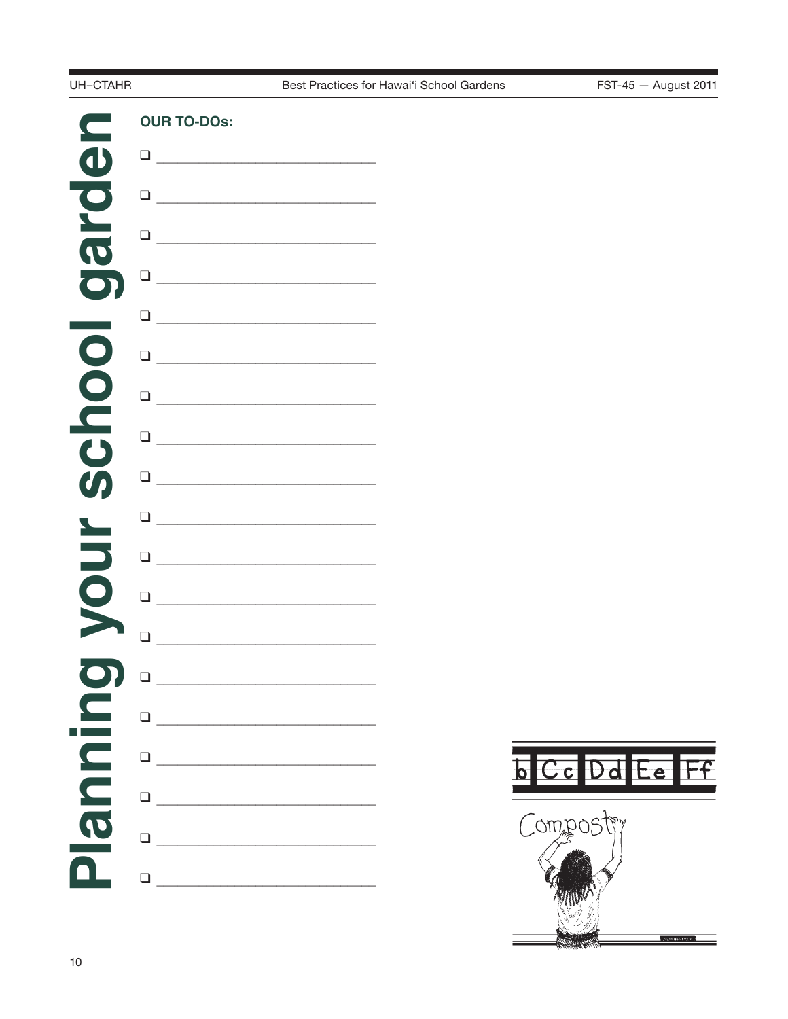## UH-CTAHR



Best Practices for Hawai'i School Gardens

FST-45 - August 2011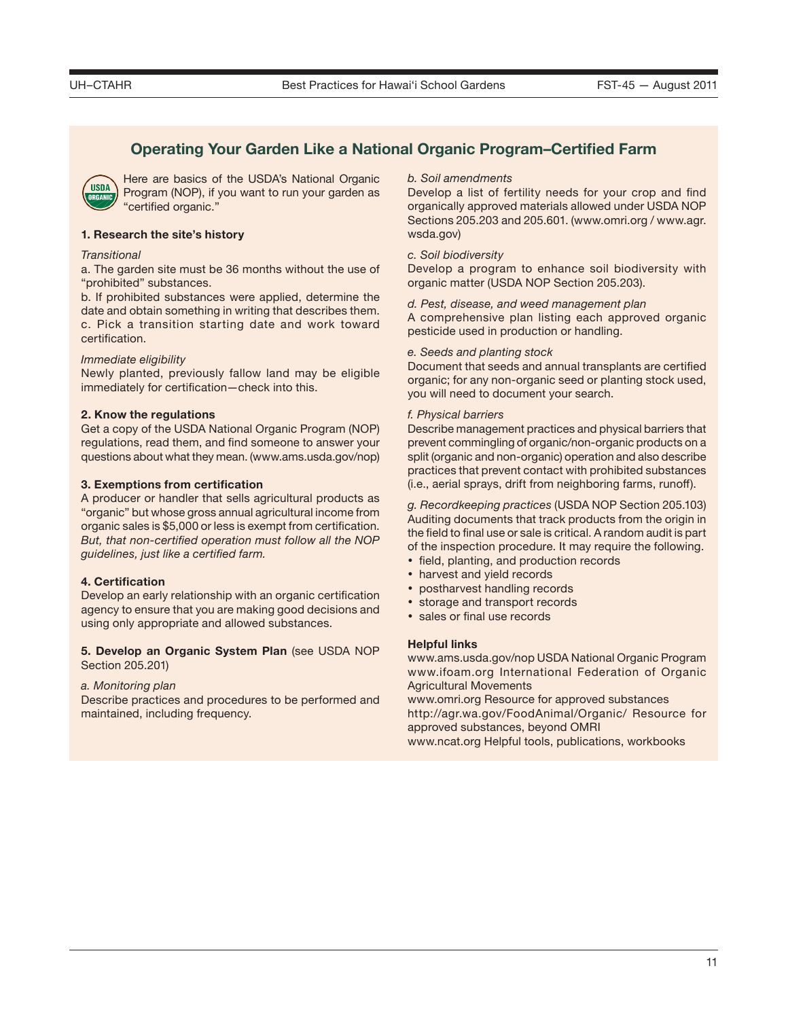# **Operating Your Garden Like a National Organic Program–Certified Farm**



Here are basics of the USDA's National Organic Program (NOP), if you want to run your garden as "certified organic."

#### **1. Research the site's history**

#### *Transitional*

a. The garden site must be 36 months without the use of "prohibited" substances.

b. If prohibited substances were applied, determine the date and obtain something in writing that describes them. c. Pick a transition starting date and work toward certification.

#### *Immediate eligibility*

Newly planted, previously fallow land may be eligible immediately for certification—check into this.

#### **2. Know the regulations**

Get a copy of the USDA National Organic Program (NOP) regulations, read them, and find someone to answer your questions about what they mean. (www.ams.usda.gov/nop)

#### **3. Exemptions from certification**

A producer or handler that sells agricultural products as "organic" but whose gross annual agricultural income from organic sales is \$5,000 or less is exempt from certification. *But, that non-certified operation must follow all the NOP guidelines, just like a certified farm.*

#### **4. Certification**

Develop an early relationship with an organic certification agency to ensure that you are making good decisions and using only appropriate and allowed substances.

#### **5. Develop an Organic System Plan** (see USDA NOP Section 205.201)

#### *a. Monitoring plan*

Describe practices and procedures to be performed and maintained, including frequency.

#### *b. Soil amendments*

Develop a list of fertility needs for your crop and find organically approved materials allowed under USDA NOP Sections 205.203 and 205.601. (www.omri.org / www.agr. wsda.gov)

#### *c. Soil biodiversity*

Develop a program to enhance soil biodiversity with organic matter (USDA NOP Section 205.203).

*d. Pest, disease, and weed management plan*

A comprehensive plan listing each approved organic pesticide used in production or handling.

#### *e. Seeds and planting stock*

Document that seeds and annual transplants are certified organic; for any non-organic seed or planting stock used, you will need to document your search.

#### *f. Physical barriers*

Describe management practices and physical barriers that prevent commingling of organic/non-organic products on a split (organic and non-organic) operation and also describe practices that prevent contact with prohibited substances (i.e., aerial sprays, drift from neighboring farms, runoff).

*g. Recordkeeping practices* (USDA NOP Section 205.103) Auditing documents that track products from the origin in the field to final use or sale is critical. A random audit is part of the inspection procedure. It may require the following.

- field, planting, and production records
- harvest and yield records
- postharvest handling records
- storage and transport records
- sales or final use records

#### **Helpful links**

www.ams.usda.gov/nop USDA National Organic Program www.ifoam.org International Federation of Organic Agricultural Movements

www.omri.org Resource for approved substances http://agr.wa.gov/FoodAnimal/Organic/ Resource for approved substances, beyond OMRI www.ncat.org Helpful tools, publications, workbooks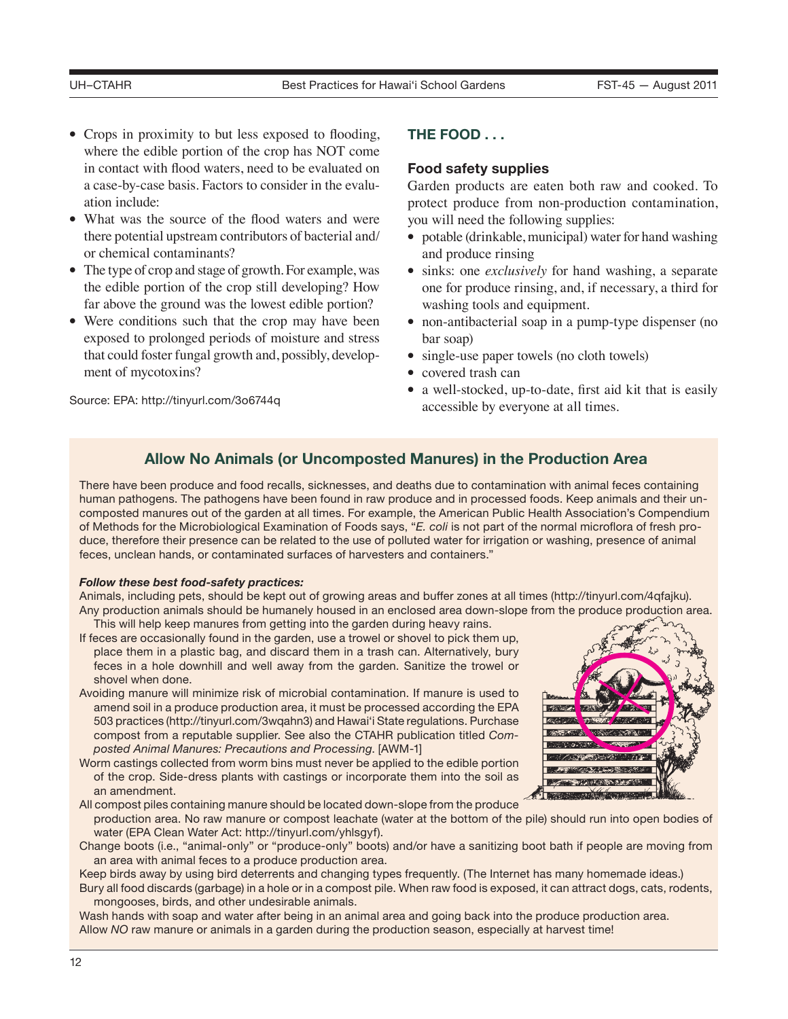- Crops in proximity to but less exposed to flooding, where the edible portion of the crop has NOT come in contact with flood waters, need to be evaluated on a case-by-case basis. Factors to consider in the evaluation include:
- What was the source of the flood waters and were there potential upstream contributors of bacterial and/ or chemical contaminants?
- The type of crop and stage of growth. For example, was the edible portion of the crop still developing? How far above the ground was the lowest edible portion?
- Were conditions such that the crop may have been exposed to prolonged periods of moisture and stress that could foster fungal growth and, possibly, development of mycotoxins?

Source: EPA: http://tinyurl.com/3o6744q

# **THE FOOD . . .**

# **Food safety supplies**

Garden products are eaten both raw and cooked. To protect produce from non-production contamination, you will need the following supplies:

- potable (drinkable, municipal) water for hand washing and produce rinsing
- sinks: one *exclusively* for hand washing, a separate one for produce rinsing, and, if necessary, a third for washing tools and equipment.
- non-antibacterial soap in a pump-type dispenser (no bar soap)
- single-use paper towels (no cloth towels)
- covered trash can
- a well-stocked, up-to-date, first aid kit that is easily accessible by everyone at all times.

# **Allow No Animals (or Uncomposted Manures) in the Production Area**

There have been produce and food recalls, sicknesses, and deaths due to contamination with animal feces containing human pathogens. The pathogens have been found in raw produce and in processed foods. Keep animals and their uncomposted manures out of the garden at all times. For example, the American Public Health Association's Compendium of Methods for the Microbiological Examination of Foods says, "*E. coli* is not part of the normal microflora of fresh produce, therefore their presence can be related to the use of polluted water for irrigation or washing, presence of animal feces, unclean hands, or contaminated surfaces of harvesters and containers."

### *Follow these best food-safety practices:*

Animals, including pets, should be kept out of growing areas and buffer zones at all times (http://tinyurl.com/4qfajku). Any production animals should be humanely housed in an enclosed area down-slope from the produce production area.

- This will help keep manures from getting into the garden during heavy rains. If feces are occasionally found in the garden, use a trowel or shovel to pick them up, place them in a plastic bag, and discard them in a trash can. Alternatively, bury feces in a hole downhill and well away from the garden. Sanitize the trowel or shovel when done.
- Avoiding manure will minimize risk of microbial contamination. If manure is used to amend soil in a produce production area, it must be processed according the EPA 503 practices (http://tinyurl.com/3wqahn3) and Hawai'i State regulations. Purchase compost from a reputable supplier. See also the CTAHR publication titled *Composted Animal Manures: Precautions and Processing*. [AWM-1]
- Worm castings collected from worm bins must never be applied to the edible portion of the crop. Side-dress plants with castings or incorporate them into the soil as an amendment.



All compost piles containing manure should be located down-slope from the produce production area. No raw manure or compost leachate (water at the bottom of the pile) should run into open bodies of water (EPA Clean Water Act: http://tinyurl.com/yhlsgyf).

Change boots (i.e., "animal-only" or "produce-only" boots) and/or have a sanitizing boot bath if people are moving from an area with animal feces to a produce production area.

Keep birds away by using bird deterrents and changing types frequently. (The Internet has many homemade ideas.)

Bury all food discards (garbage) in a hole or in a compost pile. When raw food is exposed, it can attract dogs, cats, rodents, mongooses, birds, and other undesirable animals.

Wash hands with soap and water after being in an animal area and going back into the produce production area. Allow *NO* raw manure or animals in a garden during the production season, especially at harvest time!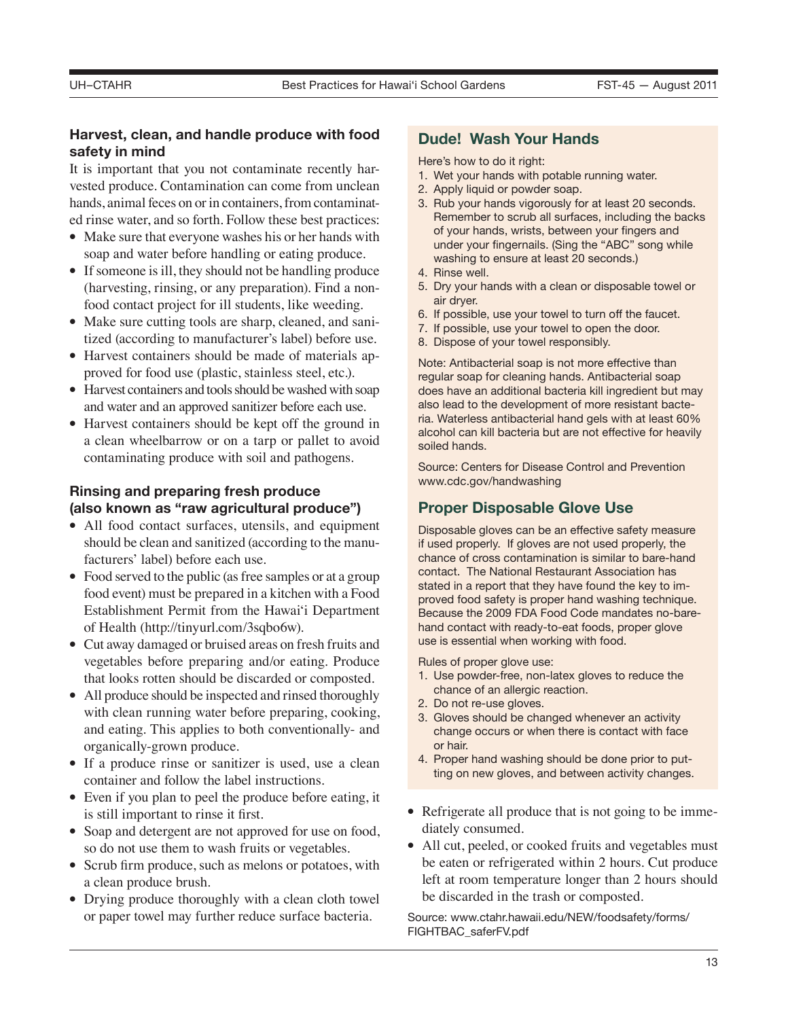# **Harvest, clean, and handle produce with food safety in mind**

It is important that you not contaminate recently harvested produce. Contamination can come from unclean hands, animal feces on or in containers, from contaminated rinse water, and so forth. Follow these best practices:

- Make sure that everyone washes his or her hands with soap and water before handling or eating produce.
- If someone is ill, they should not be handling produce (harvesting, rinsing, or any preparation). Find a nonfood contact project for ill students, like weeding.
- Make sure cutting tools are sharp, cleaned, and sanitized (according to manufacturer's label) before use.
- Harvest containers should be made of materials approved for food use (plastic, stainless steel, etc.).
- Harvest containers and tools should be washed with soap and water and an approved sanitizer before each use.
- Harvest containers should be kept off the ground in a clean wheelbarrow or on a tarp or pallet to avoid contaminating produce with soil and pathogens.

# **Rinsing and preparing fresh produce (also known as "raw agricultural produce")**

- All food contact surfaces, utensils, and equipment should be clean and sanitized (according to the manufacturers' label) before each use.
- Food served to the public (as free samples or at a group food event) must be prepared in a kitchen with a Food Establishment Permit from the Hawai'i Department of Health (http://tinyurl.com/3sqbo6w).
- Cut away damaged or bruised areas on fresh fruits and vegetables before preparing and/or eating. Produce that looks rotten should be discarded or composted.
- All produce should be inspected and rinsed thoroughly with clean running water before preparing, cooking, and eating. This applies to both conventionally- and organically-grown produce.
- If a produce rinse or sanitizer is used, use a clean container and follow the label instructions.
- Even if you plan to peel the produce before eating, it is still important to rinse it first.
- Soap and detergent are not approved for use on food, so do not use them to wash fruits or vegetables.
- Scrub firm produce, such as melons or potatoes, with a clean produce brush.
- Drying produce thoroughly with a clean cloth towel or paper towel may further reduce surface bacteria.

# **Dude! Wash Your Hands**

Here's how to do it right:

- 1. Wet your hands with potable running water.
- 2. Apply liquid or powder soap.
- 3. Rub your hands vigorously for at least 20 seconds. Remember to scrub all surfaces, including the backs of your hands, wrists, between your fingers and under your fingernails. (Sing the "ABC" song while washing to ensure at least 20 seconds.)
- 4. Rinse well.
- 5. Dry your hands with a clean or disposable towel or air dryer.
- 6. If possible, use your towel to turn off the faucet.
- 7. If possible, use your towel to open the door.
- 8. Dispose of your towel responsibly.

Note: Antibacterial soap is not more effective than regular soap for cleaning hands. Antibacterial soap does have an additional bacteria kill ingredient but may also lead to the development of more resistant bacteria. Waterless antibacterial hand gels with at least 60% alcohol can kill bacteria but are not effective for heavily soiled hands.

Source: Centers for Disease Control and Prevention www.cdc.gov/handwashing

# **Proper Disposable Glove Use**

Disposable gloves can be an effective safety measure if used properly. If gloves are not used properly, the chance of cross contamination is similar to bare-hand contact. The National Restaurant Association has stated in a report that they have found the key to improved food safety is proper hand washing technique. Because the 2009 FDA Food Code mandates no-barehand contact with ready-to-eat foods, proper glove use is essential when working with food.

Rules of proper glove use:

- 1. Use powder-free, non-latex gloves to reduce the chance of an allergic reaction.
- 2. Do not re-use gloves.
- 3. Gloves should be changed whenever an activity change occurs or when there is contact with face or hair.
- 4. Proper hand washing should be done prior to putting on new gloves, and between activity changes.
- Refrigerate all produce that is not going to be immediately consumed.
- All cut, peeled, or cooked fruits and vegetables must be eaten or refrigerated within 2 hours. Cut produce left at room temperature longer than 2 hours should be discarded in the trash or composted.

Source: www.ctahr.hawaii.edu/NEW/foodsafety/forms/ FIGHTBAC\_saferFV.pdf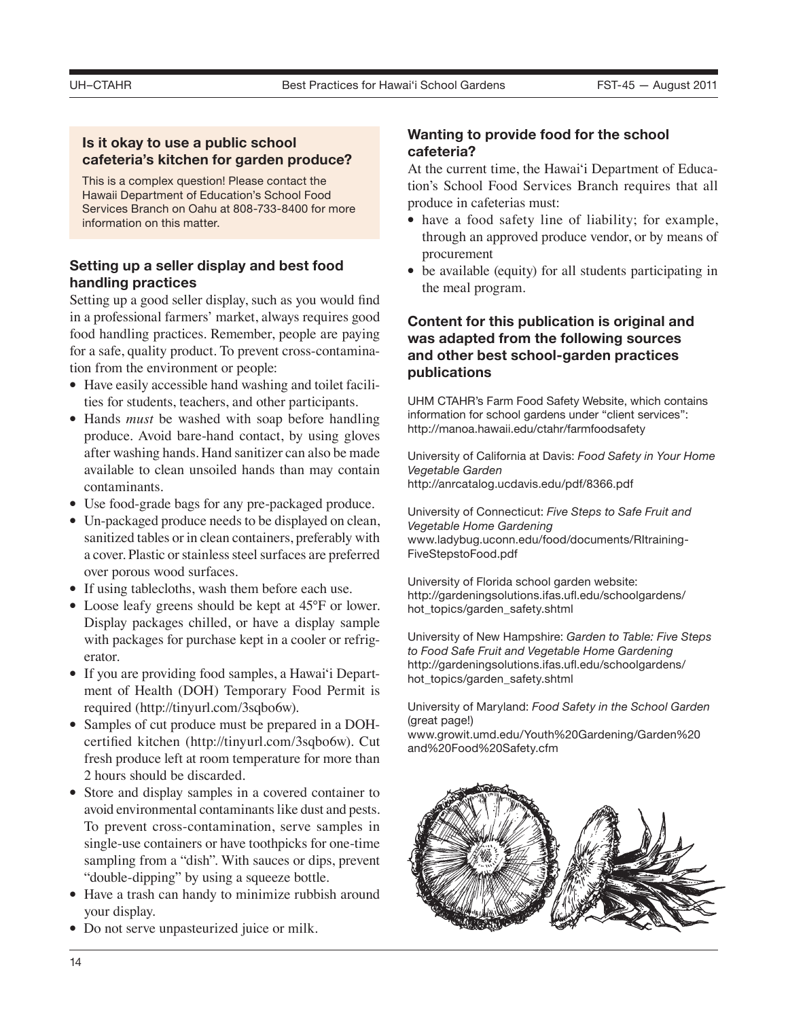# **Is it okay to use a public school cafeteria's kitchen for garden produce?**

This is a complex question! Please contact the Hawaii Department of Education's School Food Services Branch on Oahu at 808-733-8400 for more information on this matter.

# **Setting up a seller display and best food handling practices**

Setting up a good seller display, such as you would find in a professional farmers' market, always requires good food handling practices. Remember, people are paying for a safe, quality product. To prevent cross-contamination from the environment or people:

- Have easily accessible hand washing and toilet facilities for students, teachers, and other participants.
- Hands *must* be washed with soap before handling produce. Avoid bare-hand contact, by using gloves after washing hands. Hand sanitizer can also be made available to clean unsoiled hands than may contain contaminants.
- Use food-grade bags for any pre-packaged produce.
- Un-packaged produce needs to be displayed on clean, sanitized tables or in clean containers, preferably with a cover. Plastic or stainless steel surfaces are preferred over porous wood surfaces.
- If using tablecloths, wash them before each use.
- Loose leafy greens should be kept at 45°F or lower. Display packages chilled, or have a display sample with packages for purchase kept in a cooler or refrigerator.
- If you are providing food samples, a Hawai'i Department of Health (DOH) Temporary Food Permit is required (http://tinyurl.com/3sqbo6w).
- Samples of cut produce must be prepared in a DOHcertified kitchen (http://tinyurl.com/3sqbo6w). Cut fresh produce left at room temperature for more than 2 hours should be discarded.
- Store and display samples in a covered container to avoid environmental contaminants like dust and pests. To prevent cross-contamination, serve samples in single-use containers or have toothpicks for one-time sampling from a "dish". With sauces or dips, prevent "double-dipping" by using a squeeze bottle.
- Have a trash can handy to minimize rubbish around your display.
- Do not serve unpasteurized juice or milk.

# **Wanting to provide food for the school cafeteria?**

At the current time, the Hawai'i Department of Education's School Food Services Branch requires that all produce in cafeterias must:

- have a food safety line of liability; for example, through an approved produce vendor, or by means of procurement
- be available (equity) for all students participating in the meal program.

# **Content for this publication is original and was adapted from the following sources and other best school-garden practices publications**

UHM CTAHR's Farm Food Safety Website, which contains information for school gardens under "client services": http://manoa.hawaii.edu/ctahr/farmfoodsafety

University of California at Davis: *Food Safety in Your Home Vegetable Garden* http://anrcatalog.ucdavis.edu/pdf/8366.pdf

University of Connecticut: *Five Steps to Safe Fruit and Vegetable Home Gardening* www.ladybug.uconn.edu/food/documents/RItraining-FiveStepstoFood.pdf

University of Florida school garden website: http://gardeningsolutions.ifas.ufl.edu/schoolgardens/ hot\_topics/garden\_safety.shtml

University of New Hampshire: *Garden to Table: Five Steps to Food Safe Fruit and Vegetable Home Gardening* http://gardeningsolutions.ifas.ufl.edu/schoolgardens/ hot\_topics/garden\_safety.shtml

University of Maryland: *Food Safety in the School Garden* (great page!)

www.growit.umd.edu/Youth%20Gardening/Garden%20 and%20Food%20Safety.cfm

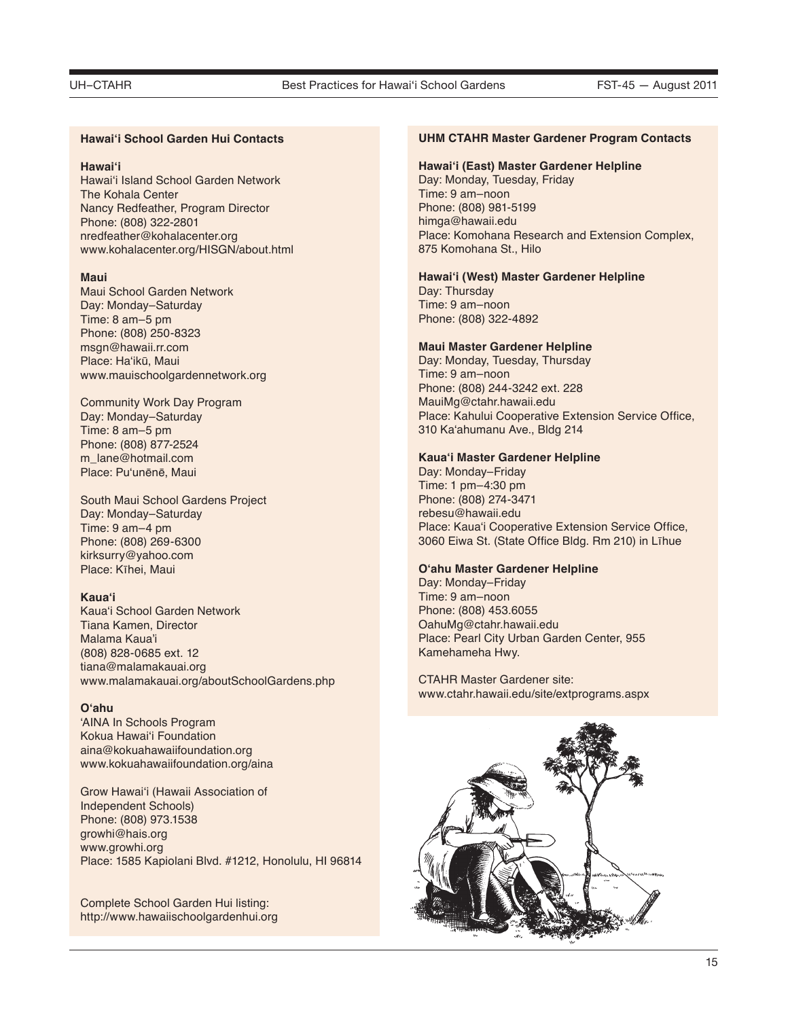#### **Hawai'i School Garden Hui Contacts**

#### **Hawai'i**

Hawai'i Island School Garden Network The Kohala Center Nancy Redfeather, Program Director Phone: (808) 322-2801 nredfeather@kohalacenter.org www.kohalacenter.org/HISGN/about.html

#### **Maui**

Maui School Garden Network Day: Monday–Saturday Time: 8 am–5 pm Phone: (808) 250-8323 msgn@hawaii.rr.com Place: Ha'ikū, Maui www.mauischoolgardennetwork.org

Community Work Day Program Day: Monday–Saturday Time: 8 am–5 pm Phone: (808) 877-2524 m\_lane@hotmail.com Place: Pu'unēnē, Maui

South Maui School Gardens Project Day: Monday–Saturday Time: 9 am–4 pm Phone: (808) 269-6300 kirksurry@yahoo.com Place: Kīhei, Maui

#### **Kaua'i**

Kaua'i School Garden Network Tiana Kamen, Director Malama Kaua'i (808) 828-0685 ext. 12 tiana@malamakauai.org www.malamakauai.org/aboutSchoolGardens.php

### **O'ahu**

'AINA In Schools Program Kokua Hawai'i Foundation aina@kokuahawaiifoundation.org www.kokuahawaiifoundation.org/aina

Grow Hawai'i (Hawaii Association of Independent Schools) Phone: (808) 973.1538 growhi@hais.org www.growhi.org Place: 1585 Kapiolani Blvd. #1212, Honolulu, HI 96814

Complete School Garden Hui listing: http://www.hawaiischoolgardenhui.org

#### **UHM CTAHR Master Gardener Program Contacts**

#### **Hawai'i (East) Master Gardener Helpline**

Day: Monday, Tuesday, Friday Time: 9 am–noon Phone: (808) 981-5199 himga@hawaii.edu Place: Komohana Research and Extension Complex, 875 Komohana St., Hilo

#### **Hawai'i (West) Master Gardener Helpline**

Day: Thursday Time: 9 am–noon Phone: (808) 322-4892

#### **Maui Master Gardener Helpline**

Day: Monday, Tuesday, Thursday Time: 9 am–noon Phone: (808) 244-3242 ext. 228 MauiMg@ctahr.hawaii.edu Place: Kahului Cooperative Extension Service Office, 310 Ka'ahumanu Ave., Bldg 214

#### **Kaua'i Master Gardener Helpline**

Day: Monday–Friday Time: 1 pm–4:30 pm Phone: (808) 274-3471 rebesu@hawaii.edu Place: Kaua'i Cooperative Extension Service Office, 3060 Eiwa St. (State Office Bldg. Rm 210) in Līhue

#### **O'ahu Master Gardener Helpline**

Day: Monday–Friday Time: 9 am–noon Phone: (808) 453.6055 OahuMg@ctahr.hawaii.edu Place: Pearl City Urban Garden Center, 955 Kamehameha Hwy.

CTAHR Master Gardener site: www.ctahr.hawaii.edu/site/extprograms.aspx